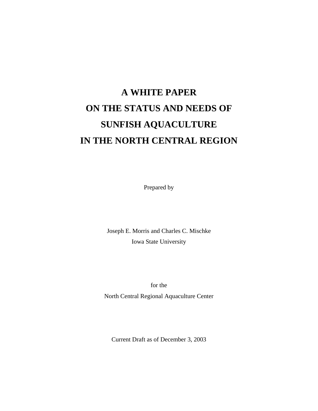# **A WHITE PAPER ON THE STATUS AND NEEDS OF SUNFISH AQUACULTURE IN THE NORTH CENTRAL REGION**

Prepared by

Joseph E. Morris and Charles C. Mischke Iowa State University

for the

North Central Regional Aquaculture Center

Current Draft as of December 3, 2003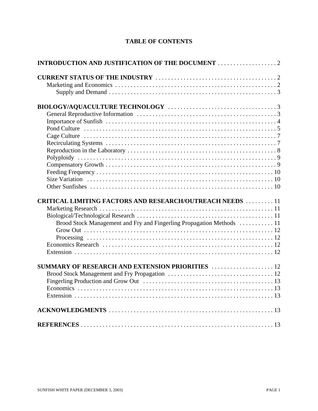| INTRODUCTION AND JUSTIFICATION OF THE DOCUMENT                        |
|-----------------------------------------------------------------------|
|                                                                       |
|                                                                       |
|                                                                       |
|                                                                       |
|                                                                       |
|                                                                       |
|                                                                       |
|                                                                       |
|                                                                       |
|                                                                       |
|                                                                       |
|                                                                       |
|                                                                       |
|                                                                       |
|                                                                       |
| <b>CRITICAL LIMITING FACTORS AND RESEARCH/OUTREACH NEEDS</b> 11       |
|                                                                       |
|                                                                       |
| Brood Stock Management and Fry and Fingerling Propagation Methods  11 |
|                                                                       |
|                                                                       |
|                                                                       |
|                                                                       |
| <b>SUMMARY OF RESEARCH AND EXTENSION PRIORITIES  12</b>               |
|                                                                       |
|                                                                       |
| Economics                                                             |
|                                                                       |
|                                                                       |
|                                                                       |

# **TABLE OF CONTENTS**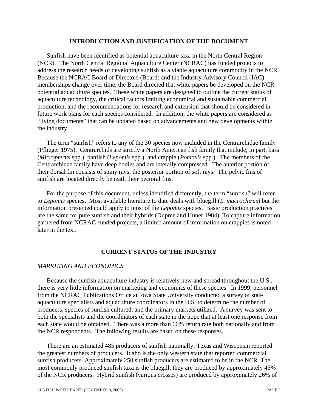#### **INTRODUCTION AND JUSTIFICATION OF THE DOCUMENT**

Sunfish have been identified as potential aquaculture taxa in the North Central Region (NCR). The North Central Regional Aquaculture Center (NCRAC) has funded projects to address the research needs of developing sunfish as a viable aquaculture commodity in the NCR. Because the NCRAC Board of Directors (Board) and the Industry Advisory Council (IAC) memberships change over time, the Board directed that white papers be developed on the NCR potential aquaculture species. These white papers are designed to outline the current status of aquaculture technology, the critical factors limiting economical and sustainable commercial production, and the recommendations for research and extension that should be considered in future work plans for each species considered. In addition, the white papers are considered as "living documents" that can be updated based on advancements and new developments within the industry.

The term "sunfish" refers to any of the 30 species now included in the Centrarchidae family (Pflieger 1975). Centrarchids are strictly a North American fish family that include, in part, bass (*Micropterus* spp.), panfish (*Lepomis* spp.), and crappie (*Pomoxis* spp.). The members of the Centrarchidae family have deep bodies and are laterally compressed. The anterior portion of their dorsal fin consists of spiny rays; the posterior portion of soft rays. The pelvic fins of sunfish are located directly beneath their pectoral fins.

For the purpose of this document, unless identified differently, the term "sunfish" will refer to *Lepomis* species. Most available literature to date deals with bluegill (*L. macrochirus*) but the information presented could apply to most of the *Lepomis* species. Basic production practices are the same for pure sunfish and their hybrids (Dupree and Huner 1984). To capture information garnered from NCRAC-funded projects, a limited amount of information on crappies is noted later in the text.

# **CURRENT STATUS OF THE INDUSTRY**

#### *MARKETING AND ECONOMICS*

Because the sunfish aquaculture industry is relatively new and spread throughout the U.S., there is very little information on marketing and economics of these species. In 1999, personnel from the NCRAC Publications Office at Iowa State University conducted a survey of state aquaculture specialists and aquaculture coordinators in the U.S. to determine the number of producers, species of sunfish cultured, and the primary markets utilized. A survey was sent to both the specialists and the coordinators of each state in the hope that at least one response from each state would be obtained. There was a more than 66% return rate both nationally and from the NCR respondents. The following results are based on these responses.

There are an estimated 485 producers of sunfish nationally; Texas and Wisconsin reported the greatest numbers of producers. Idaho is the only western state that reported commercial sunfish producers. Approximately 250 sunfish producers are estimated to be in the NCR. The most commonly produced sunfish taxa is the bluegill; they are produced by approximately 45% of the NCR producers. Hybrid sunfish (various crosses) are produced by approximately 26% of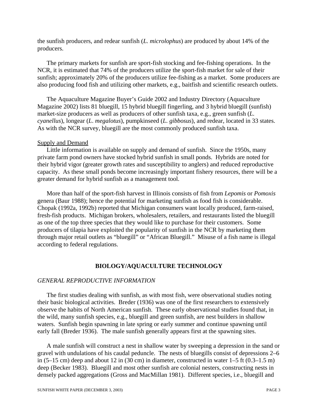the sunfish producers, and redear sunfish (*L. microlophus*) are produced by about 14% of the producers.

The primary markets for sunfish are sport-fish stocking and fee-fishing operations. In the NCR, it is estimated that 74% of the producers utilize the sport-fish market for sale of their sunfish; approximately 20% of the producers utilize fee-fishing as a market. Some producers are also producing food fish and utilizing other markets, e.g., baitfish and scientific research outlets.

The Aquaculture Magazine Buyer's Guide 2002 and Industry Directory (Aquaculture Magazine 2002) lists 81 bluegill, 15 hybrid bluegill fingerling, and 3 hybrid bluegill (sunfish) market-size producers as well as producers of other sunfish taxa, e.g., green sunfish (*L. cyanellus*), longear (*L*. *megalotus*), pumpkinseed (*L. gibbosus*), and redear, located in 33 states. As with the NCR survey, bluegill are the most commonly produced sunfish taxa.

#### Supply and Demand

Little information is available on supply and demand of sunfish. Since the 1950s, many private farm pond owners have stocked hybrid sunfish in small ponds. Hybrids are noted for their hybrid vigor (greater growth rates and susceptibility to anglers) and reduced reproductive capacity. As these small ponds become increasingly important fishery resources, there will be a greater demand for hybrid sunfish as a management tool.

More than half of the sport-fish harvest in Illinois consists of fish from *Lepomis* or *Pomoxis* genera (Baur 1988); hence the potential for marketing sunfish as food fish is considerable. Chopak (1992a, 1992b) reported that Michigan consumers want locally produced, farm-raised, fresh-fish products. Michigan brokers, wholesalers, retailers, and restaurants listed the bluegill as one of the top three species that they would like to purchase for their customers. Some producers of tilapia have exploited the popularity of sunfish in the NCR by marketing them through major retail outlets as "bluegill" or "African Bluegill." Misuse of a fish name is illegal according to federal regulations.

#### **BIOLOGY/AQUACULTURE TECHNOLOGY**

#### *GENERAL REPRODUCTIVE INFORMATION*

The first studies dealing with sunfish, as with most fish, were observational studies noting their basic biological activities. Breder (1936) was one of the first researchers to extensively observe the habits of North American sunfish. These early observational studies found that, in the wild, many sunfish species, e.g., bluegill and green sunfish, are nest builders in shallow waters. Sunfish begin spawning in late spring or early summer and continue spawning until early fall (Breder 1936). The male sunfish generally appears first at the spawning sites.

A male sunfish will construct a nest in shallow water by sweeping a depression in the sand or gravel with undulations of his caudal peduncle. The nests of bluegills consist of depressions 2–6 in  $(5-15 \text{ cm})$  deep and about 12 in  $(30 \text{ cm})$  in diameter, constructed in water 1–5 ft  $(0.3-1.5 \text{ m})$ deep (Becker 1983). Bluegill and most other sunfish are colonial nesters, constructing nests in densely packed aggregations (Gross and MacMillan 1981). Different species, i.e., bluegill and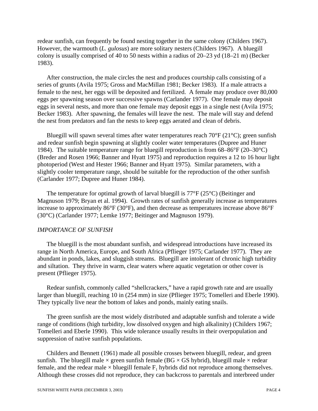redear sunfish, can frequently be found nesting together in the same colony (Childers 1967). However, the warmouth (*L. gulosus*) are more solitary nesters (Childers 1967). A bluegill colony is usually comprised of 40 to 50 nests within a radius of 20–23 yd (18–21 m) (Becker 1983).

After construction, the male circles the nest and produces courtship calls consisting of a series of grunts (Avila 1975; Gross and MacMillan 1981; Becker 1983). If a male attracts a female to the nest, her eggs will be deposited and fertilized. A female may produce over 80,000 eggs per spawning season over successive spawns (Carlander 1977). One female may deposit eggs in several nests, and more than one female may deposit eggs in a single nest (Avila 1975; Becker 1983). After spawning, the females will leave the nest. The male will stay and defend the nest from predators and fan the nests to keep eggs aerated and clean of debris.

Bluegill will spawn several times after water temperatures reach  $70^{\circ}$ F (21 $^{\circ}$ C); green sunfish and redear sunfish begin spawning at slightly cooler water temperatures (Dupree and Huner 1984). The suitable temperature range for bluegill reproduction is from 68–86°F (20–30°C) (Breder and Rosen 1966; Banner and Hyatt 1975) and reproduction requires a 12 to 16 hour light photoperiod (West and Hester 1966; Banner and Hyatt 1975). Similar parameters, with a slightly cooler temperature range, should be suitable for the reproduction of the other sunfish (Carlander 1977; Dupree and Huner 1984).

The temperature for optimal growth of larval bluegill is  $77^{\circ}F(25^{\circ}C)$  (Beitinger and Magnuson 1979; Bryan et al. 1994). Growth rates of sunfish generally increase as temperatures increase to approximately 86°F (30°F), and then decrease as temperatures increase above 86°F (30°C) (Carlander 1977; Lemke 1977; Beitinger and Magnuson 1979).

#### *IMPORTANCE OF SUNFISH*

The bluegill is the most abundant sunfish, and widespread introductions have increased its range in North America, Europe, and South Africa (Pflieger 1975; Carlander 1977). They are abundant in ponds, lakes, and sluggish streams. Bluegill are intolerant of chronic high turbidity and siltation. They thrive in warm, clear waters where aquatic vegetation or other cover is present (Pflieger 1975).

Redear sunfish, commonly called "shellcrackers," have a rapid growth rate and are usually larger than bluegill, reaching 10 in (254 mm) in size (Pflieger 1975; Tomelleri and Eberle 1990). They typically live near the bottom of lakes and ponds, mainly eating snails.

The green sunfish are the most widely distributed and adaptable sunfish and tolerate a wide range of conditions (high turbidity, low dissolved oxygen and high alkalinity) (Childers 1967; Tomelleri and Eberle 1990). This wide tolerance usually results in their overpopulation and suppression of native sunfish populations.

Childers and Bennett (1961) made all possible crosses between bluegill, redear, and green sunfish. The bluegill male  $\times$  green sunfish female (BG  $\times$  GS hybrid), bluegill male  $\times$  redear female, and the redear male  $\times$  bluegill female  $F_1$  hybrids did not reproduce among themselves. Although these crosses did not reproduce, they can backcross to parentals and interbreed under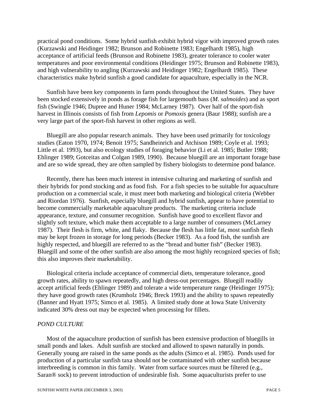practical pond conditions. Some hybrid sunfish exhibit hybrid vigor with improved growth rates (Kurzawski and Heidinger 1982; Brunson and Robinette 1983; Engelhardt 1985), high acceptance of artificial feeds (Brunson and Robinette 1983), greater tolerance to cooler water temperatures and poor environmental conditions (Heidinger 1975; Brunson and Robinette 1983), and high vulnerability to angling (Kurzawski and Heidinger 1982; Engelhardt 1985). These characteristics make hybrid sunfish a good candidate for aquaculture, especially in the NCR.

Sunfish have been key components in farm ponds throughout the United States. They have been stocked extensively in ponds as forage fish for largemouth bass (*M. salmoides*) and as sport fish (Swingle 1946; Dupree and Huner 1984; McLarney 1987). Over half of the sport-fish harvest in Illinois consists of fish from *Lepomis* or *Pomoxis* genera (Baur 1988); sunfish are a very large part of the sport-fish harvest in other regions as well.

Bluegill are also popular research animals. They have been used primarily for toxicology studies (Eaton 1970, 1974; Benoit 1975; Sandheinrich and Atchison 1989; Coyle et al. 1993; Little et al. 1993), but also ecology studies of foraging behavior (Li et al. 1985; Butler 1988; Ehlinger 1989; Gotceitas and Colgan 1989, 1990). Because bluegill are an important forage base and are so wide spread, they are often sampled by fishery biologists to determine pond balance.

Recently, there has been much interest in intensive culturing and marketing of sunfish and their hybrids for pond stocking and as food fish. For a fish species to be suitable for aquaculture production on a commercial scale, it must meet both marketing and biological criteria (Webber and Riordan 1976). Sunfish, especially bluegill and hybrid sunfish, appear to have potential to become commercially marketable aquaculture products. The marketing criteria include appearance, texture, and consumer recognition. Sunfish have good to excellent flavor and slightly soft texture, which make them acceptable to a large number of consumers (McLarney 1987). Their flesh is firm, white, and flaky. Because the flesh has little fat, most sunfish flesh may be kept frozen in storage for long periods (Becker 1983). As a food fish, the sunfish are highly respected, and bluegill are referred to as the "bread and butter fish" (Becker 1983). Bluegill and some of the other sunfish are also among the most highly recognized species of fish; this also improves their marketability.

Biological criteria include acceptance of commercial diets, temperature tolerance, good growth rates, ability to spawn repeatedly, and high dress-out percentages. Bluegill readily accept artificial feeds (Ehlinger 1989) and tolerate a wide temperature range (Heidinger 1975); they have good growth rates (Krumholz 1946; Breck 1993) and the ability to spawn repeatedly (Banner and Hyatt 1975; Simco et al. 1985). A limited study done at Iowa State University indicated 30% dress out may be expected when processing for fillets.

#### *POND CULTURE*

Most of the aquaculture production of sunfish has been extensive production of bluegills in small ponds and lakes. Adult sunfish are stocked and allowed to spawn naturally in ponds. Generally young are raised in the same ponds as the adults (Simco et al. 1985). Ponds used for production of a particular sunfish taxa should not be contaminated with other sunfish because interbreeding is common in this family. Water from surface sources must be filtered (e.g., Saran® sock) to prevent introduction of undesirable fish. Some aquaculturists prefer to use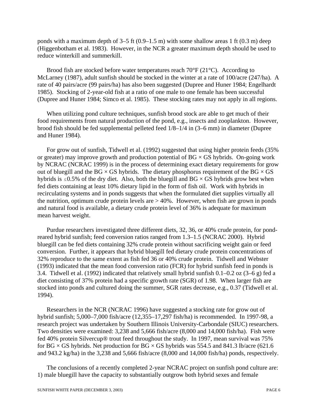ponds with a maximum depth of  $3-5$  ft (0.9–1.5 m) with some shallow areas 1 ft (0.3 m) deep (Higgenbotham et al. 1983). However, in the NCR a greater maximum depth should be used to reduce winterkill and summerkill.

Brood fish are stocked before water temperatures reach  $70^{\circ}$ F (21 $^{\circ}$ C). According to McLarney (1987), adult sunfish should be stocked in the winter at a rate of 100/acre (247/ha). A rate of 40 pairs/acre (99 pairs/ha) has also been suggested (Dupree and Huner 1984; Engelhardt 1985). Stocking of 2-year-old fish at a ratio of one male to one female has been successful (Dupree and Huner 1984; Simco et al. 1985). These stocking rates may not apply in all regions.

When utilizing pond culture techniques, sunfish brood stock are able to get much of their food requirements from natural production of the pond, e.g., insects and zooplankton. However, brood fish should be fed supplemental pelleted feed 1/8–1/4 in (3–6 mm) in diameter (Dupree and Huner 1984).

For grow out of sunfish, Tidwell et al. (1992) suggested that using higher protein feeds (35% or greater) may improve growth and production potential of  $BG \times GS$  hybrids. On-going work by NCRAC (NCRAC 1999) is in the process of determining exact dietary requirements for grow out of bluegill and the  $BG \times GS$  hybrids. The dietary phosphorus requirement of the  $BG \times GS$ hybrids is  $\leq 0.5\%$  of the dry diet. Also, both the bluegill and BG  $\times$  GS hybrids grow best when fed diets containing at least 10% dietary lipid in the form of fish oil. Work with hybrids in recirculating systems and in ponds suggests that when the formulated diet supplies virtually all the nutrition, optimum crude protein levels are  $> 40\%$ . However, when fish are grown in ponds and natural food is available, a dietary crude protein level of 36% is adequate for maximum mean harvest weight.

Purdue researchers investigated three different diets, 32, 36, or 40% crude protein, for pondreared hybrid sunfish; feed conversion ratios ranged from 1.3–1.5 (NCRAC 2000). Hybrid bluegill can be fed diets containing 32% crude protein without sacrificing weight gain or feed conversion. Further, it appears that hybrid bluegill fed dietary crude protein concentrations of 32% reproduce to the same extent as fish fed 36 or 40% crude protein. Tidwell and Webster (1993) indicated that the mean food conversion ratio (FCR) for hybrid sunfish feed in ponds is 3.4. Tidwell et al. (1992) indicated that relatively small hybrid sunfish 0.1–0.2 oz (3–6 g) fed a diet consisting of 37% protein had a specific growth rate (SGR) of 1.98. When larger fish are stocked into ponds and cultured doing the summer, SGR rates decrease, e.g., 0.37 (Tidwell et al. 1994).

Researchers in the NCR (NCRAC 1996) have suggested a stocking rate for grow out of hybrid sunfish; 5,000–7,000 fish/acre (12,355–17,297 fish/ha) is recommended. In 1997-98, a research project was undertaken by Southern Illinois University-Carbondale (SIUC) researchers. Two densities were examined: 3,238 and 5,666 fish/acre (8,000 and 14,000 fish/ha). Fish were fed 40% protein Silvercup® trout feed throughout the study. In 1997, mean survival was 75% for BG  $\times$  GS hybrids. Net production for BG  $\times$  GS hybrids was 554.5 and 841.3 lb/acre (621.6) and 943.2 kg/ha) in the 3,238 and 5,666 fish/acre (8,000 and 14,000 fish/ha) ponds, respectively.

The conclusions of a recently completed 2-year NCRAC project on sunfish pond culture are: 1) male bluegill have the capacity to substantially outgrow both hybrid sexes and female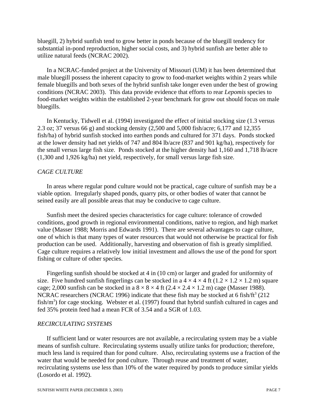bluegill, 2) hybrid sunfish tend to grow better in ponds because of the bluegill tendency for substantial in-pond reproduction, higher social costs, and 3) hybrid sunfish are better able to utilize natural feeds (NCRAC 2002).

In a NCRAC-funded project at the University of Missouri (UM) it has been determined that male bluegill possess the inherent capacity to grow to food-market weights within 2 years while female bluegills and both sexes of the hybrid sunfish take longer even under the best of growing conditions (NCRAC 2003). This data provide evidence that efforts to rear *Lepomis* species to food-market weights within the established 2-year benchmark for grow out should focus on male bluegills.

In Kentucky, Tidwell et al. (1994) investigated the effect of initial stocking size (1.3 versus 2.3 oz; 37 versus 66 g) and stocking density (2,500 and 5,000 fish/acre; 6,177 and 12,355 fish/ha) of hybrid sunfish stocked into earthen ponds and cultured for 371 days. Ponds stocked at the lower density had net yields of 747 and 804 lb/acre (837 and 901 kg/ha), respectively for the small versus large fish size. Ponds stocked at the higher density had 1,160 and 1,718 lb/acre (1,300 and 1,926 kg/ha) net yield, respectively, for small versus large fish size.

#### *CAGE CULTURE*

In areas where regular pond culture would not be practical, cage culture of sunfish may be a viable option. Irregularly shaped ponds, quarry pits, or other bodies of water that cannot be seined easily are all possible areas that may be conducive to cage culture.

Sunfish meet the desired species characteristics for cage culture: tolerance of crowded conditions, good growth in regional environmental conditions, native to region, and high market value (Masser 1988; Morris and Edwards 1991). There are several advantages to cage culture, one of which is that many types of water resources that would not otherwise be practical for fish production can be used. Additionally, harvesting and observation of fish is greatly simplified. Cage culture requires a relatively low initial investment and allows the use of the pond for sport fishing or culture of other species.

Fingerling sunfish should be stocked at 4 in (10 cm) or larger and graded for uniformity of size. Five hundred sunfish fingerlings can be stocked in a  $4 \times 4 \times 4$  ft ( $1.2 \times 1.2 \times 1.2$  m) square cage; 2,000 sunfish can be stocked in a  $8 \times 8 \times 4$  ft (2.4  $\times$  2.4  $\times$  1.2 m) cage (Masser 1988). NCRAC researchers (NCRAC 1996) indicate that these fish may be stocked at 6 fish/ft<sup>3</sup> (212) fish/ $m<sup>3</sup>$ ) for cage stocking. Webster et al. (1997) found that hybrid sunfish cultured in cages and fed 35% protein feed had a mean FCR of 3.54 and a SGR of 1.03.

#### *RECIRCULATING SYSTEMS*

If sufficient land or water resources are not available, a recirculating system may be a viable means of sunfish culture. Recirculating systems usually utilize tanks for production; therefore, much less land is required than for pond culture. Also, recirculating systems use a fraction of the water that would be needed for pond culture. Through reuse and treatment of water, recirculating systems use less than 10% of the water required by ponds to produce similar yields (Losordo et al. 1992).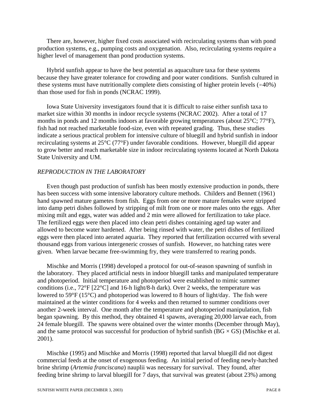There are, however, higher fixed costs associated with recirculating systems than with pond production systems, e.g., pumping costs and oxygenation. Also, recirculating systems require a higher level of management than pond production systems.

Hybrid sunfish appear to have the best potential as aquaculture taxa for these systems because they have greater tolerance for crowding and poor water conditions. Sunfish cultured in these systems must have nutritionally complete diets consisting of higher protein levels ( $\approx$ 40%) than those used for fish in ponds (NCRAC 1999).

Iowa State University investigators found that it is difficult to raise either sunfish taxa to market size within 30 months in indoor recycle systems (NCRAC 2002). After a total of 17 months in ponds and 12 months indoors at favorable growing temperatures (about 25°C; 77°F), fish had not reached marketable food-size, even with repeated grading. Thus, these studies indicate a serious practical problem for intensive culture of bluegill and hybrid sunfish in indoor recirculating systems at 25°C (77°F) under favorable conditions. However, bluegill did appear to grow better and reach marketable size in indoor recirculating systems located at North Dakota State University and UM.

#### *REPRODUCTION IN THE LABORATORY*

Even though past production of sunfish has been mostly extensive production in ponds, there has been success with some intensive laboratory culture methods. Childers and Bennett (1961) hand spawned mature gametes from fish. Eggs from one or more mature females were stripped into damp petri dishes followed by stripping of milt from one or more males onto the eggs. After mixing milt and eggs, water was added and 2 min were allowed for fertilization to take place. The fertilized eggs were then placed into clean petri dishes containing aged tap water and allowed to become water hardened. After being rinsed with water, the petri dishes of fertilized eggs were then placed into aerated aquaria. They reported that fertilization occurred with several thousand eggs from various intergeneric crosses of sunfish. However, no hatching rates were given. When larvae became free-swimming fry, they were transferred to rearing ponds.

Mischke and Morris (1998) developed a protocol for out-of-season spawning of sunfish in the laboratory. They placed artificial nests in indoor bluegill tanks and manipulated temperature and photoperiod. Initial temperature and photoperiod were established to mimic summer conditions (i.e., 72°F [22°C] and 16-h light/8-h dark). Over 2 weeks, the temperature was lowered to 59°F (15°C) and photoperiod was lowered to 8 hours of light/day. The fish were maintained at the winter conditions for 4 weeks and then returned to summer conditions over another 2-week interval. One month after the temperature and photoperiod manipulation, fish began spawning. By this method, they obtained 41 spawns, averaging 20,000 larvae each, from 24 female bluegill. The spawns were obtained over the winter months (December through May), and the same protocol was successful for production of hybrid sunfish  $(BG \times GS)$  (Mischke et al. 2001).

Mischke (1995) and Mischke and Morris (1998) reported that larval bluegill did not digest commercial feeds at the onset of exogenous feeding. An initial period of feeding newly-hatched brine shrimp (*Artemia franciscana*) nauplii was necessary for survival. They found, after feeding brine shrimp to larval bluegill for 7 days, that survival was greatest (about 23%) among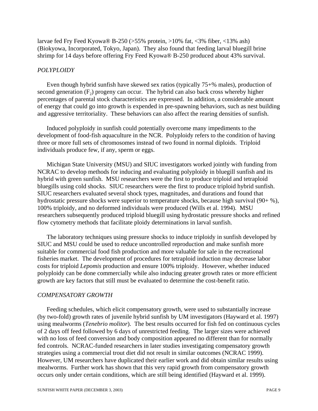larvae fed Fry Feed Kyowa® B-250 (>55% protein, >10% fat, <3% fiber, <13% ash) (Biokyowa, Incorporated, Tokyo, Japan). They also found that feeding larval bluegill brine shrimp for 14 days before offering Fry Feed Kyowa® B-250 produced about 43% survival.

#### *POLYPLOIDY*

Even though hybrid sunfish have skewed sex ratios (typically 75+% males), production of second generation  $(F_2)$  progeny can occur. The hybrid can also back cross whereby higher percentages of parental stock characteristics are expressed. In addition, a considerable amount of energy that could go into growth is expended in pre-spawning behaviors, such as nest building and aggressive territoriality. These behaviors can also affect the rearing densities of sunfish.

Induced polyploidy in sunfish could potentially overcome many impediments to the development of food-fish aquaculture in the NCR. Polyploidy refers to the condition of having three or more full sets of chromosomes instead of two found in normal diploids. Triploid individuals produce few, if any, sperm or eggs.

Michigan State University (MSU) and SIUC investigators worked jointly with funding from NCRAC to develop methods for inducing and evaluating polyploidy in bluegill sunfish and its hybrid with green sunfish. MSU researchers were the first to produce triploid and tetraploid bluegills using cold shocks. SIUC researchers were the first to produce triploid hybrid sunfish. SIUC researchers evaluated several shock types, magnitudes, and durations and found that hydrostatic pressure shocks were superior to temperature shocks, because high survival (90+ %), 100% triploidy, and no deformed individuals were produced (Wills et al. 1994). MSU researchers subsequently produced triploid bluegill using hydrostatic pressure shocks and refined flow cytometry methods that facilitate ploidy determinations in larval sunfish.

The laboratory techniques using pressure shocks to induce triploidy in sunfish developed by SIUC and MSU could be used to reduce uncontrolled reproduction and make sunfish more suitable for commercial food fish production and more valuable for sale in the recreational fisheries market. The development of procedures for tetraploid induction may decrease labor costs for triploid *Lepomis* production and ensure 100% triploidy. However, whether induced polyploidy can be done commercially while also inducing greater growth rates or more efficient growth are key factors that still must be evaluated to determine the cost-benefit ratio.

#### *COMPENSATORY GROWTH*

Feeding schedules, which elicit compensatory growth, were used to substantially increase (by two-fold) growth rates of juvenile hybrid sunfish by UM investigators (Hayward et al. 1997) using mealworms (*Tenebrio molitor*). The best results occurred for fish fed on continuous cycles of 2 days off feed followed by 6 days of unrestricted feeding. The larger sizes were achieved with no loss of feed conversion and body composition appeared no different than for normally fed controls. NCRAC-funded researchers in later studies investigating compensatory growth strategies using a commercial trout diet did not result in similar outcomes (NCRAC 1999). However, UM researchers have duplicated their earlier work and did obtain similar results using mealworms. Further work has shown that this very rapid growth from compensatory growth occurs only under certain conditions, which are still being identified (Hayward et al. 1999).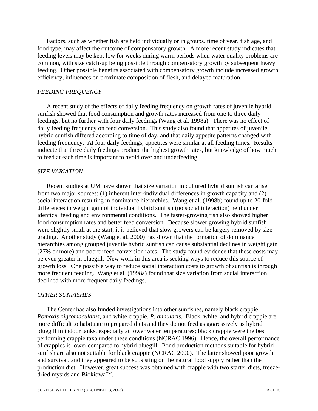Factors, such as whether fish are held individually or in groups, time of year, fish age, and food type, may affect the outcome of compensatory growth. A more recent study indicates that feeding levels may be kept low for weeks during warm periods when water quality problems are common, with size catch-up being possible through compensatory growth by subsequent heavy feeding. Other possible benefits associated with compensatory growth include increased growth efficiency, influences on proximate composition of flesh, and delayed maturation.

#### *FEEDING FREQUENCY*

A recent study of the effects of daily feeding frequency on growth rates of juvenile hybrid sunfish showed that food consumption and growth rates increased from one to three daily feedings, but no further with four daily feedings (Wang et al. 1998a). There was no effect of daily feeding frequency on feed conversion. This study also found that appetites of juvenile hybrid sunfish differed according to time of day, and that daily appetite patterns changed with feeding frequency. At four daily feedings, appetites were similar at all feeding times. Results indicate that three daily feedings produce the highest growth rates, but knowledge of how much to feed at each time is important to avoid over and underfeeding.

#### *SIZE VARIATION*

Recent studies at UM have shown that size variation in cultured hybrid sunfish can arise from two major sources: (1) inherent inter-individual differences in growth capacity and (2) social interaction resulting in dominance hierarchies. Wang et al. (1998b) found up to 20-fold differences in weight gain of individual hybrid sunfish (no social interaction) held under identical feeding and environmental conditions. The faster-growing fish also showed higher food consumption rates and better feed conversion. Because slower growing hybrid sunfish were slightly small at the start, it is believed that slow growers can be largely removed by size grading. Another study (Wang et al. 2000) has shown that the formation of dominance hierarchies among grouped juvenile hybrid sunfish can cause substantial declines in weight gain (27% or more) and poorer feed conversion rates. The study found evidence that these costs may be even greater in bluegill. New work in this area is seeking ways to reduce this source of growth loss. One possible way to reduce social interaction costs to growth of sunfish is through more frequent feeding. Wang et al. (1998a) found that size variation from social interaction declined with more frequent daily feedings.

#### *OTHER SUNFISHES*

The Center has also funded investigations into other sunfishes, namely black crappie, *Pomoxis nigromaculatus*, and white crappie, *P. annularis*. Black, white, and hybrid crappie are more difficult to habituate to prepared diets and they do not feed as aggressively as hybrid bluegill in indoor tanks, especially at lower water temperatures; black crappie were the best performing crappie taxa under these conditions (NCRAC 1996). Hence, the overall performance of crappies is lower compared to hybrid bluegill. Pond production methods suitable for hybrid sunfish are also not suitable for black crappie (NCRAC 2000). The latter showed poor growth and survival, and they appeared to be subsisting on the natural food supply rather than the production diet. However, great success was obtained with crappie with two starter diets, freezedried mysids and Biokiowa™.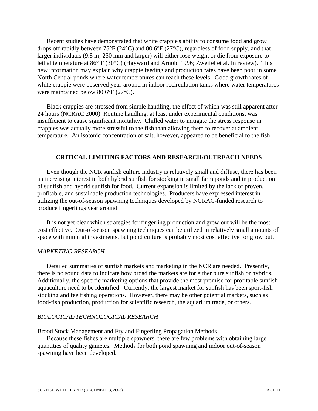Recent studies have demonstrated that white crappie's ability to consume food and grow drops off rapidly between 75°F (24°C) and 80.6°F (27°C), regardless of food supply, and that larger individuals (9.8 in; 250 mm and larger) will either lose weight or die from exposure to lethal temperature at 86° F (30°C) (Hayward and Arnold 1996; Zweifel et al. In review). This new information may explain why crappie feeding and production rates have been poor in some North Central ponds where water temperatures can reach these levels. Good growth rates of white crappie were observed year-around in indoor recirculation tanks where water temperatures were maintained below 80.6°F (27°C).

Black crappies are stressed from simple handling, the effect of which was still apparent after 24 hours (NCRAC 2000). Routine handling, at least under experimental conditions, was insufficient to cause significant mortality. Chilled water to mitigate the stress response in crappies was actually more stressful to the fish than allowing them to recover at ambient temperature. An isotonic concentration of salt, however, appeared to be beneficial to the fish.

#### **CRITICAL LIMITING FACTORS AND RESEARCH/OUTREACH NEEDS**

Even though the NCR sunfish culture industry is relatively small and diffuse, there has been an increasing interest in both hybrid sunfish for stocking in small farm ponds and in production of sunfish and hybrid sunfish for food. Current expansion is limited by the lack of proven, profitable, and sustainable production technologies. Producers have expressed interest in utilizing the out-of-season spawning techniques developed by NCRAC-funded research to produce fingerlings year around.

It is not yet clear which strategies for fingerling production and grow out will be the most cost effective. Out-of-season spawning techniques can be utilized in relatively small amounts of space with minimal investments, but pond culture is probably most cost effective for grow out.

# *MARKETING RESEARCH*

Detailed summaries of sunfish markets and marketing in the NCR are needed. Presently, there is no sound data to indicate how broad the markets are for either pure sunfish or hybrids. Additionally, the specific marketing options that provide the most promise for profitable sunfish aquaculture need to be identified. Currently, the largest market for sunfish has been sport-fish stocking and fee fishing operations. However, there may be other potential markets, such as food-fish production, production for scientific research, the aquarium trade, or others.

#### *BIOLOGICAL/TECHNOLOGICAL RESEARCH*

#### Brood Stock Management and Fry and Fingerling Propagation Methods

Because these fishes are multiple spawners, there are few problems with obtaining large quantities of quality gametes. Methods for both pond spawning and indoor out-of-season spawning have been developed.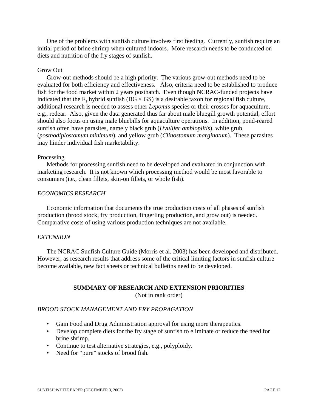One of the problems with sunfish culture involves first feeding. Currently, sunfish require an initial period of brine shrimp when cultured indoors. More research needs to be conducted on diets and nutrition of the fry stages of sunfish.

#### Grow Out

Grow-out methods should be a high priority. The various grow-out methods need to be evaluated for both efficiency and effectiveness. Also, criteria need to be established to produce fish for the food market within 2 years posthatch. Even though NCRAC-funded projects have indicated that the  $F_1$  hybrid sunfish (BG  $\times$  GS) is a desirable taxon for regional fish culture, additional research is needed to assess other *Lepomis* species or their crosses for aquaculture, e.g., redear. Also, given the data generated thus far about male bluegill growth potential, effort should also focus on using male bluebills for aquaculture operations. In addition, pond-reared sunfish often have parasites, namely black grub (*Uvulifer ambloplitis*), white grub (*posthodiplostomum minimum*), and yellow grub (*Clinostomum marginatum*). These parasites may hinder individual fish marketability.

#### Processing

Methods for processing sunfish need to be developed and evaluated in conjunction with marketing research. It is not known which processing method would be most favorable to consumers (i.e., clean fillets, skin-on fillets, or whole fish).

## *ECONOMICS RESEARCH*

Economic information that documents the true production costs of all phases of sunfish production (brood stock, fry production, fingerling production, and grow out) is needed. Comparative costs of using various production techniques are not available.

# *EXTENSION*

The NCRAC Sunfish Culture Guide (Morris et al. 2003) has been developed and distributed. However, as research results that address some of the critical limiting factors in sunfish culture become available, new fact sheets or technical bulletins need to be developed.

# **SUMMARY OF RESEARCH AND EXTENSION PRIORITIES**

(Not in rank order)

# *BROOD STOCK MANAGEMENT AND FRY PROPAGATION*

- Gain Food and Drug Administration approval for using more therapeutics.
- Develop complete diets for the fry stage of sunfish to eliminate or reduce the need for brine shrimp.
- Continue to test alternative strategies, e.g., polyploidy.
- Need for "pure" stocks of brood fish.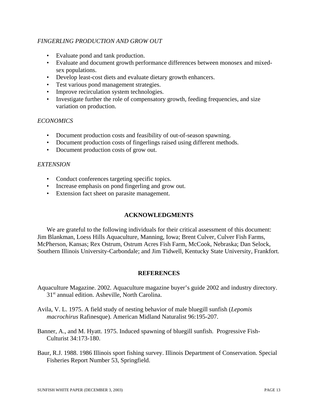# *FINGERLING PRODUCTION AND GROW OUT*

- Evaluate pond and tank production.
- Evaluate and document growth performance differences between monosex and mixedsex populations.
- Develop least-cost diets and evaluate dietary growth enhancers.
- Test various pond management strategies.
- Improve recirculation system technologies.
- Investigate further the role of compensatory growth, feeding frequencies, and size variation on production.

## *ECONOMICS*

- Document production costs and feasibility of out-of-season spawning.
- Document production costs of fingerlings raised using different methods.
- Document production costs of grow out.

## *EXTENSION*

- Conduct conferences targeting specific topics.
- Increase emphasis on pond fingerling and grow out.
- Extension fact sheet on parasite management.

# **ACKNOWLEDGMENTS**

We are grateful to the following individuals for their critical assessment of this document: Jim Blankman, Loess Hills Aquaculture, Manning, Iowa; Brent Culver, Culver Fish Farms, McPherson, Kansas; Rex Ostrum, Ostrum Acres Fish Farm, McCook, Nebraska; Dan Selock, Southern Illinois University-Carbondale; and Jim Tidwell, Kentucky State University, Frankfort.

#### **REFERENCES**

- Aquaculture Magazine. 2002. Aquaculture magazine buyer's guide 2002 and industry directory. 31st annual edition. Asheville, North Carolina.
- Avila, V. L. 1975. A field study of nesting behavior of male bluegill sunfish (*Lepomis macrochirus* Rafinesque). American Midland Naturalist 96:195-207.
- Banner, A., and M. Hyatt. 1975. Induced spawning of bluegill sunfish. Progressive Fish-Culturist 34:173-180.
- Baur, R.J. 1988. 1986 Illinois sport fishing survey. Illinois Department of Conservation. Special Fisheries Report Number 53, Springfield.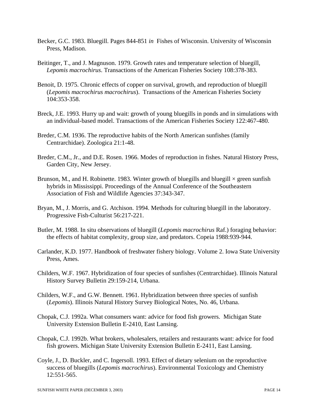- Becker, G.C. 1983. Bluegill. Pages 844-851 *in* Fishes of Wisconsin. University of Wisconsin Press, Madison.
- Beitinger, T., and J. Magnuson. 1979. Growth rates and temperature selection of bluegill, *Lepomis macrochirus*. Transactions of the American Fisheries Society 108:378-383.
- Benoit, D. 1975. Chronic effects of copper on survival, growth, and reproduction of bluegill (*Lepomis macrochirus macrochirus*). Transactions of the American Fisheries Society 104:353-358.
- Breck, J.E. 1993. Hurry up and wait: growth of young bluegills in ponds and in simulations with an individual-based model. Transactions of the American Fisheries Society 122:467-480.
- Breder, C.M. 1936. The reproductive habits of the North American sunfishes (family Centrarchidae). Zoologica 21:1-48.
- Breder, C.M., Jr., and D.E. Rosen. 1966. Modes of reproduction in fishes. Natural History Press, Garden City, New Jersey.
- Brunson, M., and H. Robinette. 1983. Winter growth of bluegills and bluegill  $\times$  green sunfish hybrids in Mississippi. Proceedings of the Annual Conference of the Southeastern Association of Fish and Wildlife Agencies 37:343-347.
- Bryan, M., J. Morris, and G. Atchison. 1994. Methods for culturing bluegill in the laboratory. Progressive Fish-Culturist 56:217-221.
- Butler, M. 1988. In situ observations of bluegill (*Lepomis macrochirus* Raf.) foraging behavior: the effects of habitat complexity, group size, and predators. Copeia 1988:939-944.
- Carlander, K.D. 1977. Handbook of freshwater fishery biology. Volume 2. Iowa State University Press, Ames.
- Childers, W.F. 1967. Hybridization of four species of sunfishes (Centrarchidae). Illinois Natural History Survey Bulletin 29:159-214, Urbana.
- Childers, W.F., and G.W. Bennett. 1961. Hybridization between three species of sunfish (*Lepomis*). Illinois Natural History Survey Biological Notes, No. 46, Urbana.
- Chopak, C.J. 1992a. What consumers want: advice for food fish growers. Michigan State University Extension Bulletin E-2410, East Lansing.
- Chopak, C.J. 1992b. What brokers, wholesalers, retailers and restaurants want: advice for food fish growers. Michigan State University Extension Bulletin E-2411, East Lansing.
- Coyle, J., D. Buckler, and C. Ingersoll. 1993. Effect of dietary selenium on the reproductive success of bluegills (*Lepomis macrochirus*). Environmental Toxicology and Chemistry 12:551-565.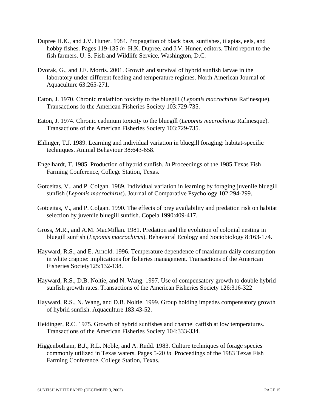- Dupree H.K., and J.V. Huner. 1984. Propagation of black bass, sunfishes, tilapias, eels, and hobby fishes. Pages 119-135 *in* H.K. Dupree, and J.V. Huner, editors. Third report to the fish farmers. U. S. Fish and Wildlife Service, Washington, D.C.
- Dvorak, G., and J.E. Morris. 2001. Growth and survival of hybrid sunfish larvae in the laboratory under different feeding and temperature regimes. North American Journal of Aquaculture 63:265-271.
- Eaton, J. 1970. Chronic malathion toxicity to the bluegill (*Lepomis macrochirus* Rafinesque). Transactions fo the American Fisheries Society 103:729-735.
- Eaton, J. 1974. Chronic cadmium toxicity to the bluegill (*Lepomis macrochirus* Rafinesque). Transactions of the American Fisheries Society 103:729-735.
- Ehlinger, T.J. 1989. Learning and individual variation in bluegill foraging: habitat-specific techniques. Animal Behaviour 38:643-658.
- Engelhardt, T. 1985. Production of hybrid sunfish. *In* Proceedings of the 1985 Texas Fish Farming Conference, College Station, Texas.
- Gotceitas, V., and P. Colgan. 1989. Individual variation in learning by foraging juvenile bluegill sunfish (*Lepomis macrochirus*). Journal of Comparative Psychology 102:294-299.
- Gotceitas, V., and P. Colgan. 1990. The effects of prey availability and predation risk on habitat selection by juvenile bluegill sunfish. Copeia 1990:409-417.
- Gross, M.R., and A.M. MacMillan. 1981. Predation and the evolution of colonial nesting in bluegill sunfish (*Lepomis macrochirus*). Behavioral Ecology and Sociobiology 8:163-174.
- Hayward, R.S., and E. Arnold. 1996. Temperature dependence of maximum daily consumption in white crappie: implications for fisheries management. Transactions of the American Fisheries Society125:132-138.
- Hayward, R.S., D.B. Noltie, and N. Wang. 1997. Use of compensatory growth to double hybrid sunfish growth rates. Transactions of the American Fisheries Society 126:316-322
- Hayward, R.S., N. Wang, and D.B. Noltie. 1999. Group holding impedes compensatory growth of hybrid sunfish. Aquaculture 183:43-52.
- Heidinger, R.C. 1975. Growth of hybrid sunfishes and channel catfish at low temperatures. Transactions of the American Fisheries Society 104:333-334.
- Higgenbotham, B.J., R.L. Noble, and A. Rudd. 1983. Culture techniques of forage species commonly utilized in Texas waters. Pages 5-20 *in* Proceedings of the 1983 Texas Fish Farming Conference, College Station, Texas.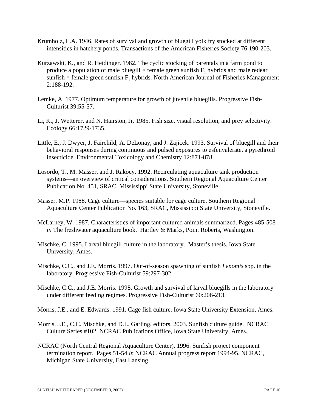- Krumholz, L.A. 1946. Rates of survival and growth of bluegill yolk fry stocked at different intensities in hatchery ponds. Transactions of the American Fisheries Society 76:190-203.
- Kurzawski, K., and R. Heidinger. 1982. The cyclic stocking of parentals in a farm pond to produce a population of male bluegill  $\times$  female green sunfish  $F_1$  hybrids and male redear sunfish  $\times$  female green sunfish  $F_1$  hybrids. North American Journal of Fisheries Management 2:188-192.
- Lemke, A. 1977. Optimum temperature for growth of juvenile bluegills. Progressive Fish-Culturist 39:55-57.
- Li, K., J. Wetterer, and N. Hairston, Jr. 1985. Fish size, visual resolution, and prey selectivity. Ecology 66:1729-1735.
- Little, E., J. Dwyer, J. Fairchild, A. DeLonay, and J. Zajicek. 1993. Survival of bluegill and their behavioral responses during continuous and pulsed exposures to esfenvalerate, a pyrethroid insecticide. Environmental Toxicology and Chemistry 12:871-878.
- Losordo, T., M. Masser, and J. Rakocy. 1992. Recirculating aquaculture tank production systems—an overview of critical considerations. Southern Regional Aquaculture Center Publication No. 451, SRAC, Mississippi State University, Stoneville.
- Masser, M.P. 1988. Cage culture—species suitable for cage culture. Southern Regional Aquaculture Center Publication No. 163, SRAC, Mississippi State University, Stoneville.
- McLarney, W. 1987. Characteristics of important cultured animals summarized. Pages 485-508 *in* The freshwater aquaculture book. Hartley & Marks, Point Roberts, Washington.
- Mischke, C. 1995. Larval bluegill culture in the laboratory. Master's thesis. Iowa State University, Ames.
- Mischke, C.C., and J.E. Morris. 1997. Out-of-season spawning of sunfish *Lepomis* spp. in the laboratory. Progressive Fish-Culturist 59:297-302.
- Mischke, C.C., and J.E. Morris. 1998. Growth and survival of larval bluegills in the laboratory under different feeding regimes. Progressive Fish-Culturist 60:206-213.
- Morris, J.E., and E. Edwards. 1991. Cage fish culture. Iowa State University Extension, Ames.
- Morris, J.E., C.C. Mischke, and D.L. Garling, editors. 2003. Sunfish culture guide. NCRAC Culture Series #102, NCRAC Publications Office, Iowa State University, Ames.
- NCRAC (North Central Regional Aquaculture Center). 1996. Sunfish project component termination report. Pages 51-54 *in* NCRAC Annual progress report 1994-95. NCRAC, Michigan State University, East Lansing.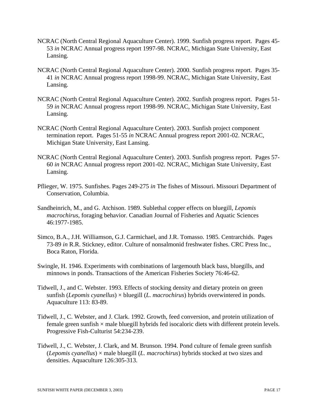- NCRAC (North Central Regional Aquaculture Center). 1999. Sunfish progress report. Pages 45- 53 *in* NCRAC Annual progress report 1997-98. NCRAC, Michigan State University, East Lansing.
- NCRAC (North Central Regional Aquaculture Center). 2000. Sunfish progress report. Pages 35- 41 *in* NCRAC Annual progress report 1998-99. NCRAC, Michigan State University, East Lansing.
- NCRAC (North Central Regional Aquaculture Center). 2002. Sunfish progress report. Pages 51- 59 *in* NCRAC Annual progress report 1998-99. NCRAC, Michigan State University, East Lansing.
- NCRAC (North Central Regional Aquaculture Center). 2003. Sunfish project component termination report. Pages 51-55 *in* NCRAC Annual progress report 2001-02. NCRAC, Michigan State University, East Lansing.
- NCRAC (North Central Regional Aquaculture Center). 2003. Sunfish progress report. Pages 57- 60 *in* NCRAC Annual progress report 2001-02. NCRAC, Michigan State University, East Lansing.
- Pflieger, W. 1975. Sunfishes. Pages 249-275 *in* The fishes of Missouri. Missouri Department of Conservation, Columbia.
- Sandheinrich, M., and G. Atchison. 1989. Sublethal copper effects on bluegill, *Lepomis macrochirus*, foraging behavior. Canadian Journal of Fisheries and Aquatic Sciences 46:1977-1985.
- Simco, B.A., J.H. Williamson, G.J. Carmichael, and J.R. Tomasso. 1985. Centrarchids. Pages 73-89 *in* R.R. Stickney, editor. Culture of nonsalmonid freshwater fishes. CRC Press Inc., Boca Raton, Florida.
- Swingle, H. 1946. Experiments with combinations of largemouth black bass, bluegills, and minnows in ponds. Transactions of the American Fisheries Society 76:46-62.
- Tidwell, J., and C. Webster. 1993. Effects of stocking density and dietary protein on green sunfish (*Lepomis cyanellus*) × bluegill (*L. macrochirus*) hybrids overwintered in ponds. Aquaculture 113: 83-89.
- Tidwell, J., C. Webster, and J. Clark. 1992. Growth, feed conversion, and protein utilization of female green sunfish  $\times$  male bluegill hybrids fed isocaloric diets with different protein levels. Progressive Fish-Culturist 54:234-239.
- Tidwell, J., C. Webster, J. Clark, and M. Brunson. 1994. Pond culture of female green sunfish (*Lepomis cyanellus*) × male bluegill (*L. macrochirus*) hybrids stocked at two sizes and densities. Aquaculture 126:305-313.